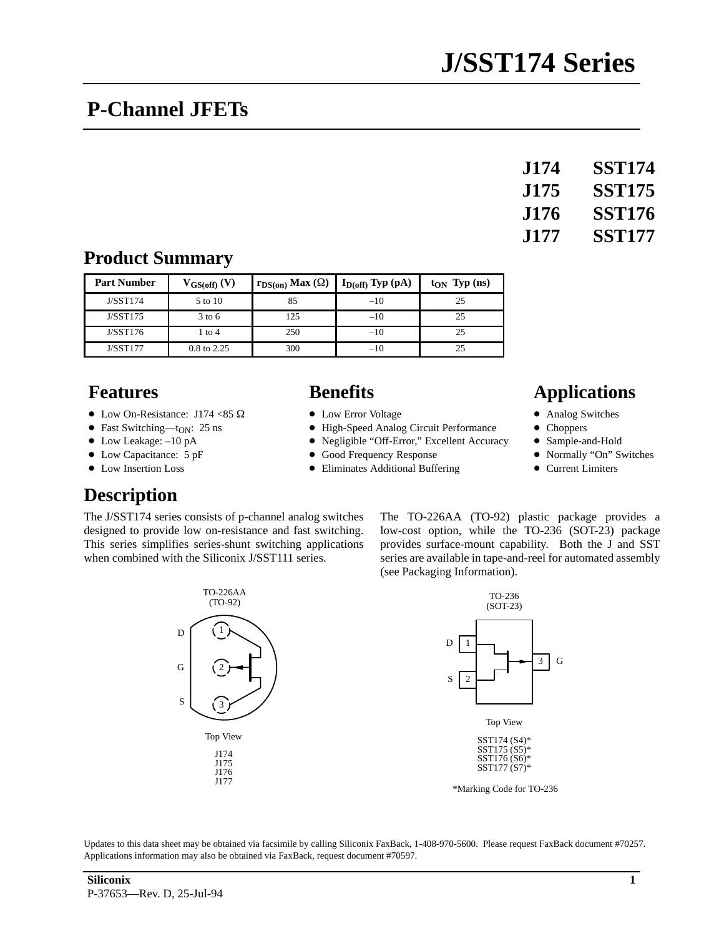# **P-Channel JFETs**

| <b>J174</b> | <b>SST174</b> |
|-------------|---------------|
| <b>J175</b> | <b>SST175</b> |
| <b>J176</b> | <b>SST176</b> |
| J177.       | <b>SST177</b> |

#### **Product Summary**

| <b>Part Number</b> | $V_{GS(off)}(V)$  | $r_{DS(on)}$ Max $(\Omega)$ | $I_{D(off)}$ Typ (pA) | $t_{ON}$ Typ (ns) |
|--------------------|-------------------|-----------------------------|-----------------------|-------------------|
| J/SST174           | 5 to 10           | 85                          | $-10$                 | 25                |
| J/ SST175          | $3 \text{ to } 6$ | 125                         | $-10$                 | 25                |
| J/ SST176          | 1 to 4            | 250                         | $-10$                 | 25                |
| <b>J/SST177</b>    | 0.8 to 2.25       | 300                         | $-10$                 |                   |

- $\bullet$  Low On-Resistance: J174 <85  $\Omega$
- Fast Switching—t<sub>ON</sub>: 25 ns
- Low Leakage: -10 pA
- Low Capacitance: 5 pF
- Low Insertion Loss

### **Description**

The J/SST174 series consists of p-channel analog switches designed to provide low on-resistance and fast switching. This series simplifies series-shunt switching applications when combined with the Siliconix J/SST111 series.

- Low Error Voltage
- High-Speed Analog Circuit Performance
- Negligible "Off-Error," Excellent Accuracy
- Good Frequency Response
- Eliminates Additional Buffering

#### **Features Benefits Benefits Applications**

- Analog Switches
- $\bullet$ **Choppers**
- $\bullet$ Sample-and-Hold
- $\bullet$ Normally "On" Switches
- $\bullet$ Current Limiters

The TO-226AA (TO-92) plastic package provides a low-cost option, while the TO-236 (SOT-23) package provides surface-mount capability. Both the J and SST series are available in tape-and-reel for automated assembly (see Packaging Information).



Updates to this data sheet may be obtained via facsimile by calling Siliconix FaxBack, 1-408-970-5600. Please request FaxBack document #70257. Applications information may also be obtained via FaxBack, request document #70597.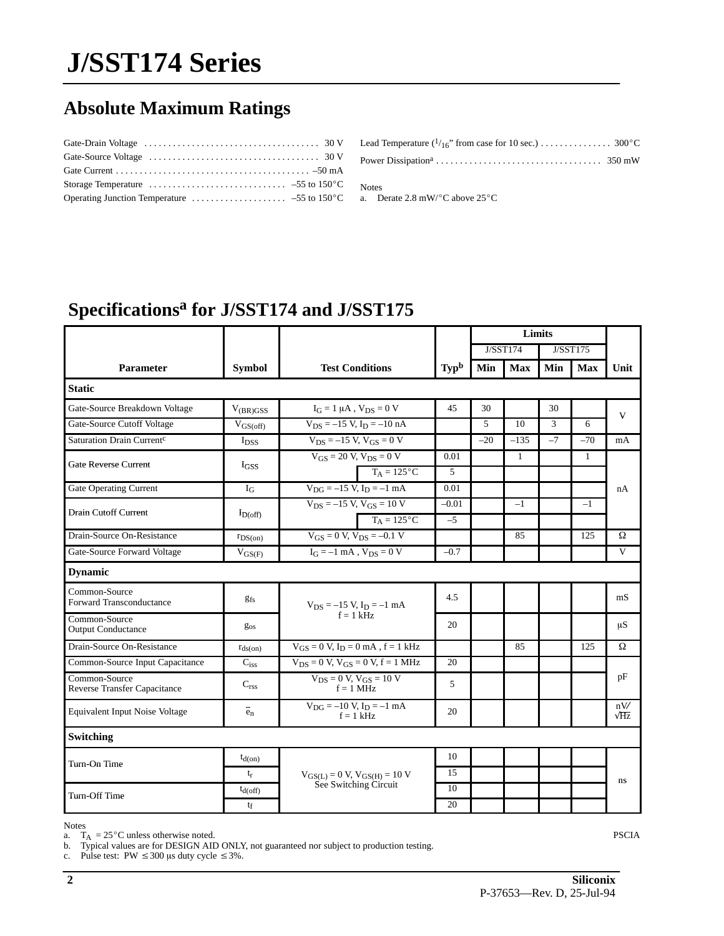# **J/SST174 Series**

## **Absolute Maximum Ratings**

| Operating Junction Temperature $\dots \dots \dots \dots \dots \dots -55$ to 150 °C |  |
|------------------------------------------------------------------------------------|--|

| Lead Temperature $\binom{1}{16}$ from case for 10 sec.) 300 °C |  |
|----------------------------------------------------------------|--|
|                                                                |  |

Notes

a. Derate  $2.8 \text{ mW}$ <sup>o</sup>C above  $25^{\circ}$ C

### **Specificationsa for J/SST174 and J/SST175**

|                                                      |                         |                                                 |                                               |                 | Limits |              |      |              |                    |
|------------------------------------------------------|-------------------------|-------------------------------------------------|-----------------------------------------------|-----------------|--------|--------------|------|--------------|--------------------|
|                                                      |                         |                                                 |                                               | <b>J/SST174</b> |        | J/SST175     |      |              |                    |
| Parameter                                            | <b>Symbol</b>           | <b>Test Conditions</b>                          |                                               | Typb            | Min    | <b>Max</b>   | Min  | <b>Max</b>   | Unit               |
| <b>Static</b>                                        |                         |                                                 |                                               |                 |        |              |      |              |                    |
| Gate-Source Breakdown Voltage                        | $V_{(BR)GSS}$           | $I_G = 1 \mu A$ , $V_{DS} = 0 V$                |                                               | 45              | 30     |              | 30   |              | V                  |
| Gate-Source Cutoff Voltage                           | $V_{GS(off)}$           | $V_{DS} = -15 V$ , $I_D = -10 nA$               |                                               |                 | 5      | 10           | 3    | 6            |                    |
| Saturation Drain Current <sup>c</sup>                | <b>I</b> <sub>DSS</sub> | $V_{DS} = -15 V, V_{GS} = 0 V$                  |                                               |                 | $-20$  | $-135$       | $-7$ | $-70$        | mA                 |
| Gate Reverse Current                                 | IGSS                    | $V_{GS} = 20 V$ , $V_{DS} = 0 V$                |                                               | 0.01            |        | $\mathbf{1}$ |      | $\mathbf{1}$ |                    |
|                                                      |                         |                                                 | $T_A = 125$ °C                                | 5               |        |              |      |              |                    |
| <b>Gate Operating Current</b>                        | $I_G$                   | $V_{\rm DG} = -15$ V, $I_{\rm D} = -1$ mA       |                                               | 0.01            |        |              |      |              | nA                 |
| Drain Cutoff Current                                 | $I_{D(off)}$            | $V_{DS} = -15 V$ , $V_{GS} = 10 V$              |                                               | $-0.01$         |        | $-1$         |      | $-1$         |                    |
|                                                      |                         |                                                 | $T_A = 125^{\circ}C$                          | $-5$            |        |              |      |              |                    |
| Drain-Source On-Resistance                           | $r_{DS(on)}$            | $V_{GS} = 0 V$ , $V_{DS} = -0.1 V$              |                                               |                 |        | 85           |      | 125          | $\Omega$           |
| Gate-Source Forward Voltage                          | $V_{GS(F)}$             | $I_G = -1$ mA, $V_{DS} = 0$ V                   |                                               | $-0.7$          |        |              |      |              | V                  |
| <b>Dynamic</b>                                       |                         |                                                 |                                               |                 |        |              |      |              |                    |
| Common-Source<br>Forward Transconductance            | gfs                     | $V_{DS} = -15 V$ , $I_D = -1 mA$<br>$f = 1$ kHz |                                               | 4.5             |        |              |      |              | mS                 |
| Common-Source<br><b>Output Conductance</b>           | $g_{os}$                |                                                 |                                               | 20              |        |              |      |              | μS                 |
| Drain-Source On-Resistance                           | $r_{ds(on)}$            | $V_{GS} = 0 V$ , $I_D = 0 mA$ , $f = 1 kHz$     |                                               |                 |        | 85           |      | 125          | Ω                  |
| Common-Source Input Capacitance                      | $C_{iss}$               |                                                 | $V_{DS} = 0 V$ , $V_{GS} = 0 V$ , $f = 1 MHz$ |                 |        |              |      |              |                    |
| Common-Source<br><b>Reverse Transfer Capacitance</b> | $C_{\text{rss}}$        | $V_{DS} = 0 V$ , $V_{GS} = 10 V$<br>$f = 1$ MHz |                                               | 5               |        |              |      |              | pF                 |
| Equivalent Input Noise Voltage                       | $e_n$                   | $V_{DG} = -10 V, I_D = -1 mA$                   | $f = 1$ kHz                                   | 20              |        |              |      |              | nV/<br>$\sqrt{Hz}$ |
| Switching                                            |                         |                                                 |                                               |                 |        |              |      |              |                    |
| Turn-On Time                                         | $t_{d(on)}$             |                                                 |                                               | 10              |        |              |      |              |                    |
|                                                      | $t_r$                   | $V_{GS(L)} = 0$ V, $V_{GS(H)} = 10$ V           |                                               | 15              |        |              |      |              | ns                 |
| Turn-Off Time                                        | $t_{d(off)}$            | See Switching Circuit                           |                                               | 10              |        |              |      |              |                    |
|                                                      | $t_f$                   |                                                 |                                               | 20              |        |              |      |              |                    |

Notes

Accuse  $T_A = 25^{\circ}$ C unless otherwise noted.<br>
b. Typical values are for DESIGN AID ONLY, not guaranteed nor subject to production testing.<br>
c. Pulse test: PW  $\leq 300$  us duty cycle  $\leq 3\%$ .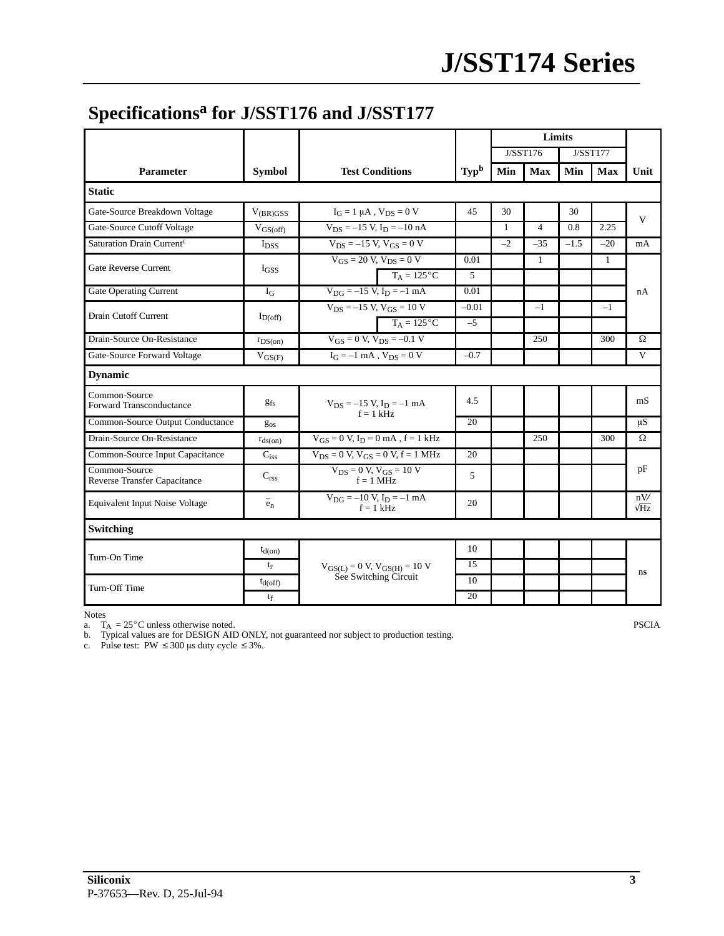### **Specificationsa for J/SST176 and J/SST177**

|                                               |                         |                                                 |         | Limits               |                |        |              |                    |
|-----------------------------------------------|-------------------------|-------------------------------------------------|---------|----------------------|----------------|--------|--------------|--------------------|
|                                               |                         |                                                 |         | J/SST176<br>J/SST177 |                |        |              |                    |
| <b>Parameter</b>                              | <b>Symbol</b>           | <b>Test Conditions</b>                          | Typb    | Min                  | <b>Max</b>     | Min    | <b>Max</b>   | Unit               |
| <b>Static</b>                                 |                         |                                                 |         |                      |                |        |              |                    |
| Gate-Source Breakdown Voltage                 | $V_{(BR)GSS}$           | $I_G = 1 \mu A$ , $V_{DS} = 0 V$                | 45      | 30                   |                | 30     |              | V                  |
| Gate-Source Cutoff Voltage                    | $V_{GS(off)}$           | $V_{DS} = -15 V$ , $I_D = -10 nA$               |         | $\mathbf{1}$         | $\overline{4}$ | 0.8    | 2.25         |                    |
| Saturation Drain Current <sup>c</sup>         | <b>I</b> <sub>DSS</sub> | $V_{DS} = -15 V$ , $V_{GS} = 0 V$               |         | $-2$                 | $-35$          | $-1.5$ | $-20$        | mA                 |
| Gate Reverse Current                          | $I_{GSS}$               | $V_{GS} = 20 V, V_{DS} = 0 V$                   | 0.01    |                      | $\mathbf{1}$   |        | $\mathbf{1}$ |                    |
|                                               |                         | $T_A = 125$ °C                                  | 5       |                      |                |        |              |                    |
| Gate Operating Current                        | $I_G$                   | $V_{DG} = -15 V, I_D = -1 mA$                   | 0.01    |                      |                |        |              | nA                 |
| <b>Drain Cutoff Current</b>                   | $I_{D(off)}$            | $V_{DS} = -15 V$ , $V_{GS} = 10 V$              | $-0.01$ |                      | $-1$           |        | $-1$         |                    |
|                                               |                         | $T_A = 125^{\circ}C$                            | $-5$    |                      |                |        |              |                    |
| Drain-Source On-Resistance                    | $r_{DS(on)}$            | $V_{GS} = 0 V$ , $V_{DS} = -0.1 V$              |         |                      | 250            |        | 300          | Ω                  |
| Gate-Source Forward Voltage                   | $V_{GS(F)}$             | $I_G = -1$ mA, $V_{DS} = 0$ V                   | $-0.7$  |                      |                |        |              | $\mathbf{V}$       |
| <b>Dynamic</b>                                |                         |                                                 |         |                      |                |        |              |                    |
| Common-Source<br>Forward Transconductance     | <b>gfs</b>              | $V_{DS} = -15 V$ , $I_D = -1 mA$<br>$f = 1$ kHz | 4.5     |                      |                |        |              | mS                 |
| Common-Source Output Conductance              | $g_{OS}$                |                                                 | 20      |                      |                |        |              | $\mu S$            |
| Drain-Source On-Resistance                    | $r_{ds(on)}$            | $V_{GS} = 0 V$ , $I_D = 0 mA$ , $f = 1 kHz$     |         |                      | 250            |        | 300          | Ω                  |
| Common-Source Input Capacitance               | $C_{iss}$               | $V_{DS} = 0 V$ , $V_{GS} = 0 V$ , $f = 1 MHz$   | 20      |                      |                |        |              |                    |
| Common-Source<br>Reverse Transfer Capacitance | $C_{\text{rss}}$        | $V_{DS} = 0 V$ , $V_{GS} = 10 V$<br>$f = 1$ MHz | 5       |                      |                |        |              | pF                 |
| Equivalent Input Noise Voltage                | $e_n$                   | $V_{DG} = -10 V, I_D = -1 mA$<br>$f = 1$ kHz    | 20      |                      |                |        |              | nV/<br>$\sqrt{Hz}$ |
| Switching                                     |                         |                                                 |         |                      |                |        |              |                    |
| Turn-On Time                                  | $t_{d(0n)}$             |                                                 | 10      |                      |                |        |              |                    |
|                                               | $t_r$                   | $V_{GS(L)} = 0$ V, $V_{GS(H)} = 10$ V           | 15      |                      |                |        |              | ns                 |
| <b>Turn-Off Time</b>                          | $t_{\rm d(off)}$        | See Switching Circuit                           | 10      |                      |                |        |              |                    |
| $t_f$                                         |                         | 20                                              |         |                      |                |        |              |                    |

Notes<br>
a. T<sub>A</sub> = 25°C unless otherwise noted.<br>
b. Typical values are for DESIGN AID ONLY, not guaranteed nor subject to production testing.<br>
c. Pulse test: PW ≤ 300 µs duty cycle ≤ 3%.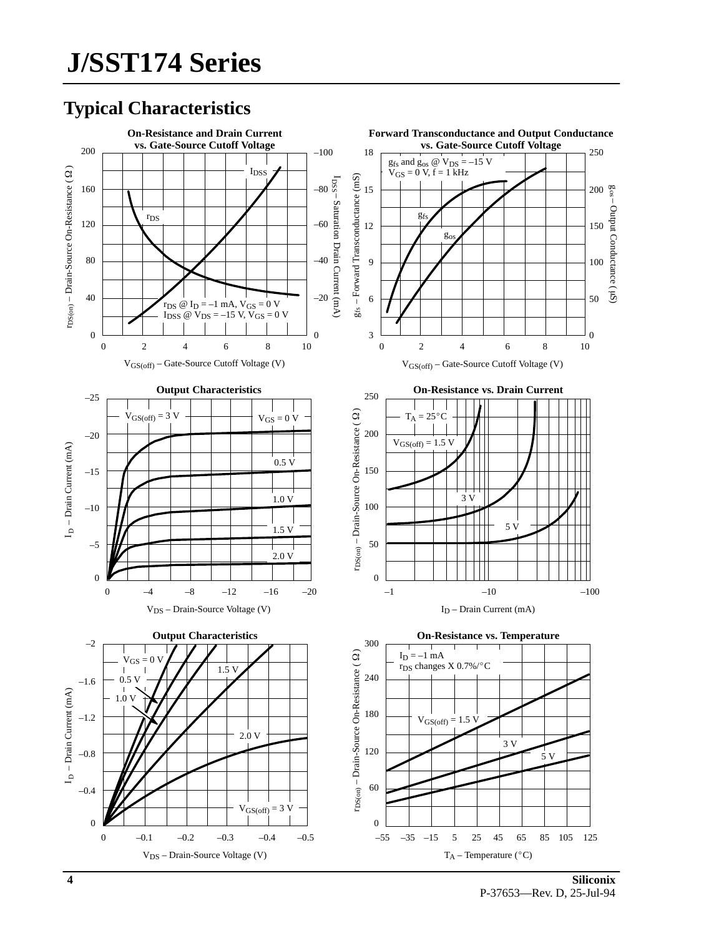## **Typical Characteristics**

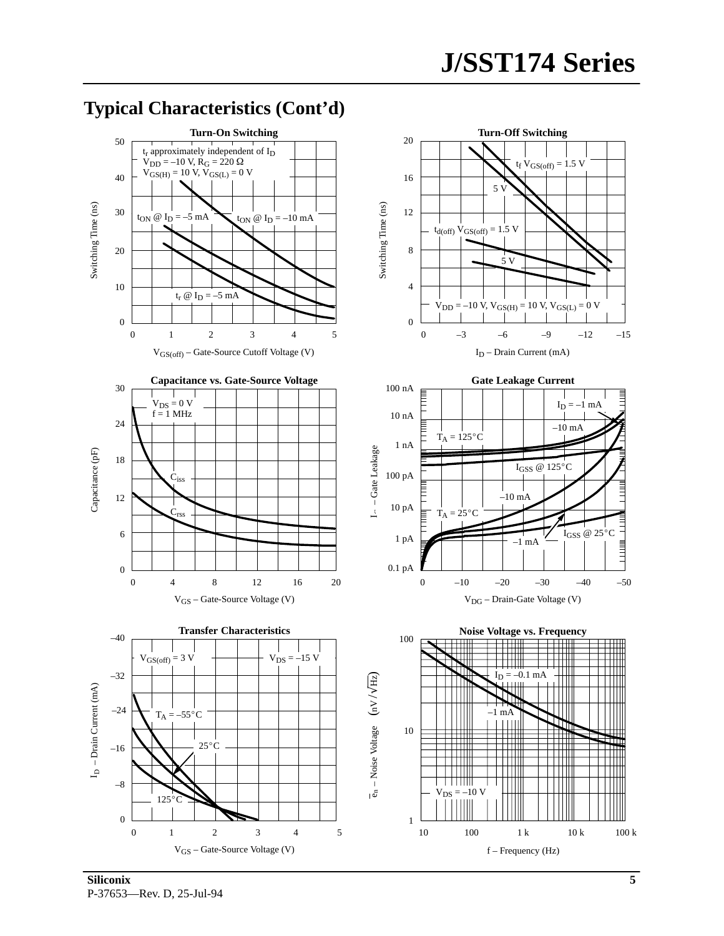

#### **Typical Characteristics (Cont'd)**